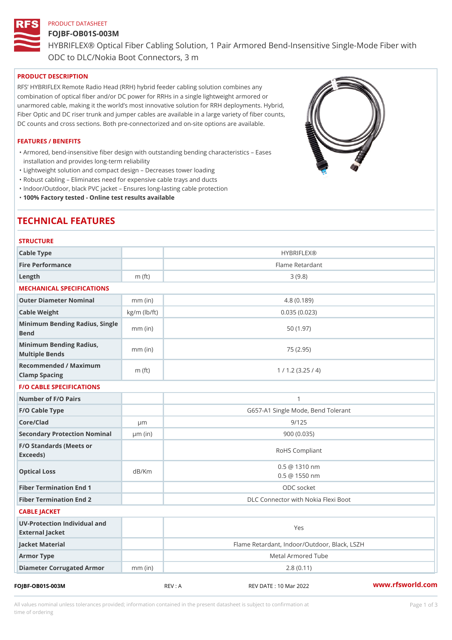#### PRODUCT DATASHEET

#### FOJBF-OB01S-003M

HYBRIFLEX® Optical Fiber Cabling Solution, 1 Pair Armored Bend-Inse

ODC to DLC/Nokia Boot Connectors, 3 m

# PRODUCT DESCRIPTION

RFS HYBRIFLEX Remote Radio Head (RRH) hybrid feeder cabling solution combines any combination of optical fiber and/or DC power for RRHs in a single lightweight armored or unarmored cable, making it the world s most innovative solution for RRH deployments. Hybrid, Fiber Optic and DC riser trunk and jumper cables are available in a large variety of fiber counts, DC counts and cross sections. Both pre-connectorized and on-site options are available.

# FEATURES / BENEFITS

Armored, bend-insensitive fiber design with outstanding bending characteristics Eases " installation and provides long-term reliability

- "Lightweight solution and compact design Decreases tower loading
- "Robust cabling Eliminates need for expensive cable trays and ducts
- "Indoor/Outdoor, black PVC jacket Ensures long-lasting cable protection

"100% Factory tested - Online test results available

# TECHNICAL FEATURES

| <b>STRUCTURE</b>                                  |                    |                                                |
|---------------------------------------------------|--------------------|------------------------------------------------|
| Cable Type                                        |                    | <b>HYBRIFLEX®</b>                              |
| Fire Performance                                  |                    | Flame Retardant                                |
| $L$ ength                                         | $m$ (ft)           | 3(9.8)                                         |
| MECHANICAL SPECIFICATIONS                         |                    |                                                |
| Outer Diameter Nominal                            | $mm$ (in)          | 4.8(0.189)                                     |
| Cable Weight                                      | $kg/m$ ( $lb/ft$ ) | 0.035(0.023)                                   |
| Minimum Bending Radius, Single<br>mm (in)<br>Bend |                    | 50(1.97)                                       |
| Minimum Bending Radius, mm (in)<br>Multiple Bends |                    | 75 (2.95)                                      |
| Recommended / Maximum<br>Clamp Spacing            | $m$ (ft)           | 1 / 1.2 (3.25 / 4)                             |
| <b>F/O CABLE SPECIFICATIONS</b>                   |                    |                                                |
| Number of F/O Pairs                               |                    | 1                                              |
| F/O Cable Type                                    |                    | G657-A1 Single Mode, Bend Tolerant             |
| Core/Clad                                         | $\mu$ m            | 9/125                                          |
| Secondary Protection Nomimal(in)                  |                    | 900(0.035)                                     |
| F/O Standards (Meets or<br>Exceeds)               |                    | RoHS Compliant                                 |
| Optical Loss                                      | dB/Km              | $0.5 \ @ \ 1310 \ nm$<br>$0.5 \ @ \ 1550 \ nm$ |
| Fiber Termination End                             |                    | ODC socket                                     |
| Fiber Termination End 2                           |                    | DLC Connector with Nokia Flexi Boot            |
| CABLE JACKET                                      |                    |                                                |
| UV-Protection Individual and<br>External Jacket   |                    | Yes                                            |
| Jacket Material                                   |                    | Flame Retardant, Indoor/Outdoor, Black, LSZH   |
| Armor Type                                        |                    | Metal Armored Tube                             |
| Diameter Corrugated Armomm (in)                   |                    | 2.8(0.11)                                      |
|                                                   |                    | and and are a committed and a committed and    |

FOJBF-OB01S-003M REV : A REV DATE : 10 Mar 2022 [www.](https://www.rfsworld.com)rfsworld.com

All values nominal unless tolerances provided; information contained in the present datasheet is subject to Pcapgeign mation time of ordering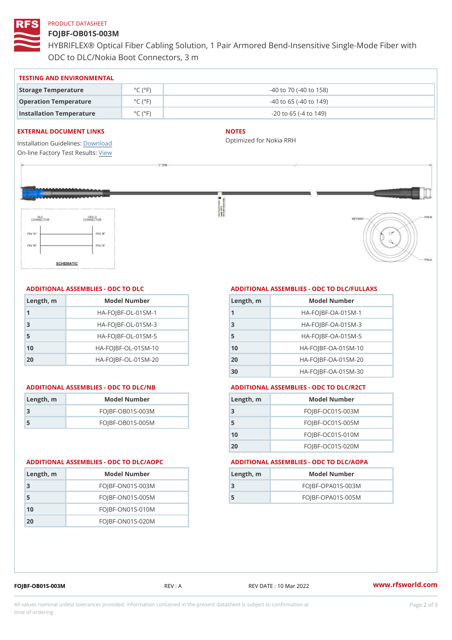#### PRODUCT DATASHEET

## FOJBF-OB01S-003M

HYBRIFLEX® Optical Fiber Cabling Solution, 1 Pair Armored Bend-Inse ODC to DLC/Nokia Boot Connectors, 3 m

#### TESTING AND ENVIRONMENTAL

| Storage Temperature              | $^{\circ}$ C ( $^{\circ}$ F $\vert$ | $-40$ to $70$ ( $-40$ to $158$ ) |
|----------------------------------|-------------------------------------|----------------------------------|
| Operation Temperature            | $^{\circ}$ C ( $^{\circ}$ F $\vert$ | $-40$ to 65 ( $-40$ to 149)      |
| Installation Temperature °C (°F) |                                     | $-20$ to 65 ( $-4$ to 149)       |

#### EXTERNAL DOCUMENT LINKS

Installation Guidelwinessad On-line Factory Te[s](https://www.rfsworld.com/pictures/userfiles/programs/AAST Latest Version.zip)teResults:

#### NOTES

Optimized for Nokia RRH

# ADDITIONAL ASSEMBLIES - ODC TO DLC

| Length, m | Model Number                   |
|-----------|--------------------------------|
| -1        | $HA - FOJBF - OL - 01SM - 1$   |
| -3        | $HA - FOJBF - OL - 01SM - 3$   |
| 5         | $HA - FOJBF - OL - 01SM - 5$   |
| 10        | $HA - FOJBF - O L - 01SM - 10$ |
| 20        | $HA - FOJBF - O L - 01SM - 20$ |

| Length, m | Model Number     |
|-----------|------------------|
| -3        | FOJBF-OB01S-003M |
| -5        | FOJBF-OB01S-005M |

#### ADDITIONAL ASSEMBLIES - ODC TO DLC/FULLAXS

| Length, m | Model Number                  |
|-----------|-------------------------------|
|           | $HA - FOJBF - OA - 01SM - 1$  |
| 3         | $HA - FOJBF - OA - 01SM - B$  |
| 5         | $HA - FOJBF - OA - 01SM - 5$  |
| 10        | $HA-FOJBF-OA-01SM-10$         |
| 20        | $HA - FOJBF - OA - 01SM - 20$ |
| 30        | $HA-FOJBF-OA-01SM-30$         |

#### ADDITIONAL ASSEMBLIES - ODC TO DLC/NB ADDITIONAL ASSEMBLIES - ODC TO DLC/R2CT

| Length, m | Model Number       |
|-----------|--------------------|
| -3        | $FOJBF-OCO1S-OO3M$ |
| -5        | $FOJBF-OCO1S-OO5M$ |
| 10        | $FOJBF-OCO1S-010M$ |
| 20        | FOJBF-OC01S-020M   |

#### ADDITIONAL ASSEMBLIES - ODC TO DLC/AOPC ADDITIONAL ASSEMBLIES - ODC TO DLC/AOPA

| Length, m | Model Number        |
|-----------|---------------------|
|           | FOJBF-OPA01S-003M   |
| 5         | $FOJBF-OPAO1S-005M$ |

| Length, m | Model Number       |
|-----------|--------------------|
| -3        | $FOJBF-ONO1S-003M$ |
| 5         | $FOJBF-ONO1S-005M$ |
| 10        | $FOJBF-ONO1S-010M$ |
| 20        | $FOJBF-ONO1S-020M$ |

FOJBF-OB01S-003M REV : A REV DATE : 10 Mar 2022 [www.](https://www.rfsworld.com)rfsworld.com

All values nominal unless tolerances provided; information contained in the present datasheet is subject to Pcapgelio an atio time of ordering